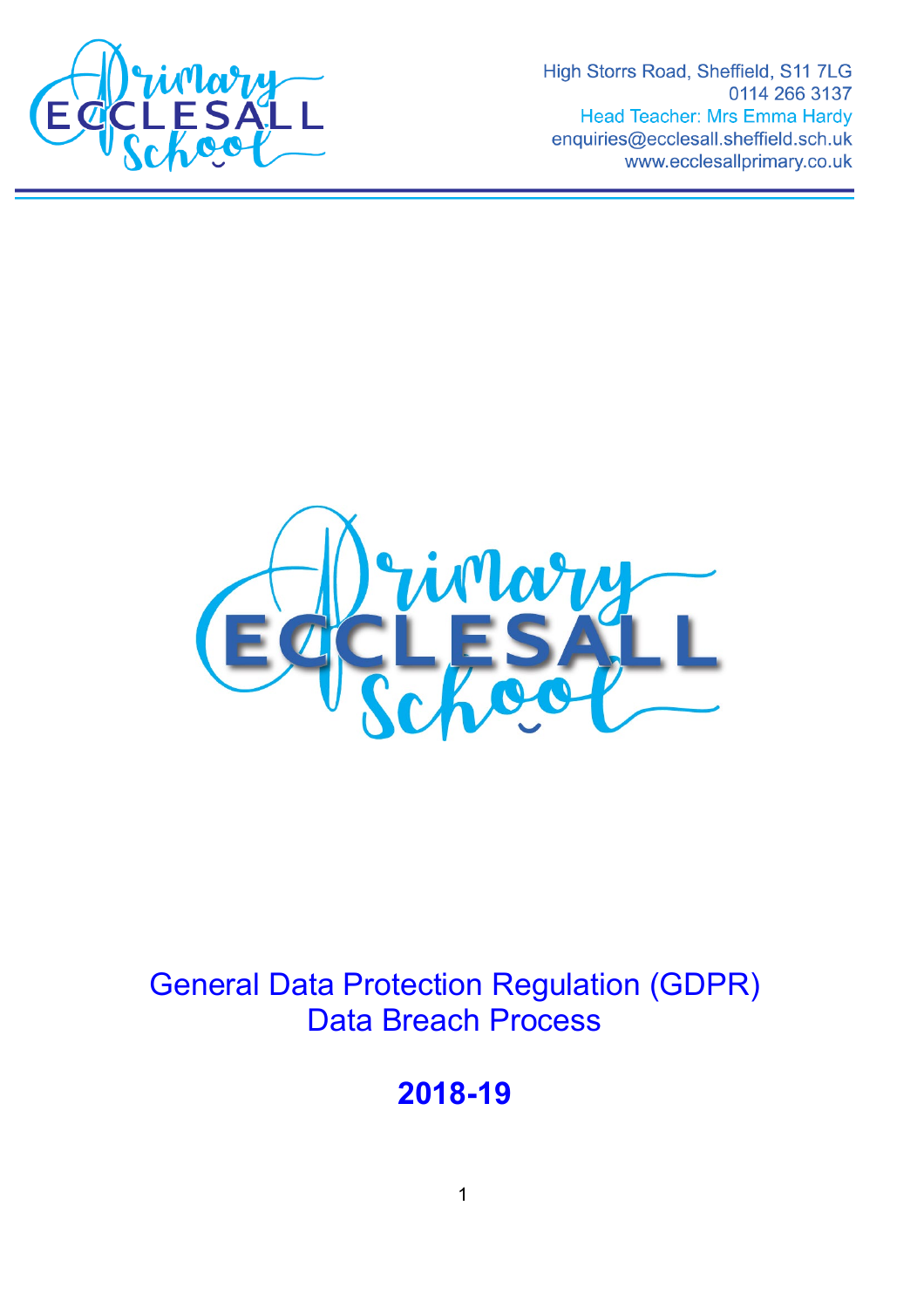

High Storrs Road, Sheffield, S11 7LG 0114 266 3137 **Head Teacher: Mrs Emma Hardy** enquiries@ecclesall.sheffield.sch.uk www.ecclesallprimary.co.uk



# General Data Protection Regulation (GDPR) Data Breach Process

**2018-19**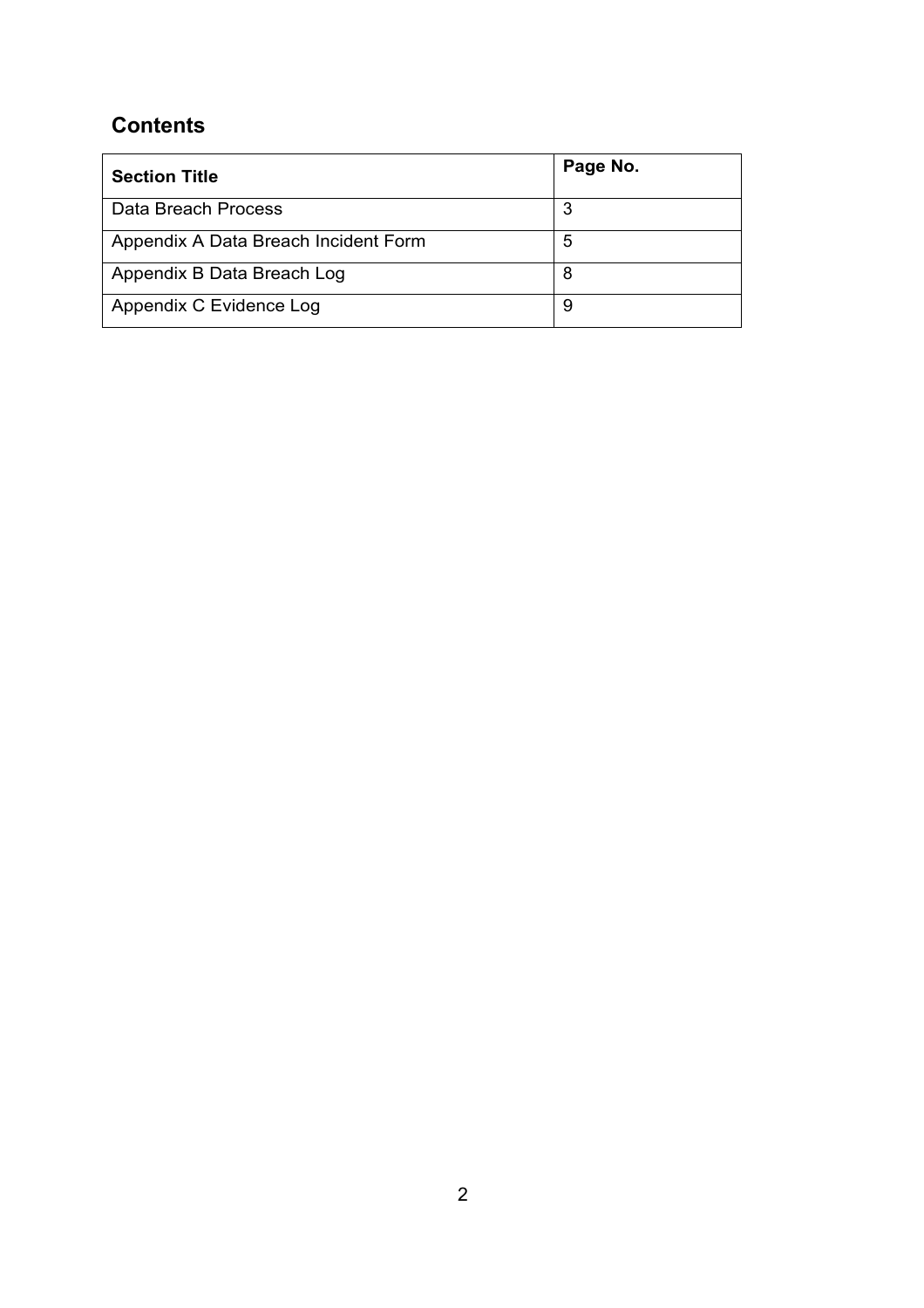## **Contents**

| <b>Section Title</b>                 | Page No. |
|--------------------------------------|----------|
| Data Breach Process                  | 3        |
| Appendix A Data Breach Incident Form | 5        |
| Appendix B Data Breach Log           | 8        |
| Appendix C Evidence Log              | 9        |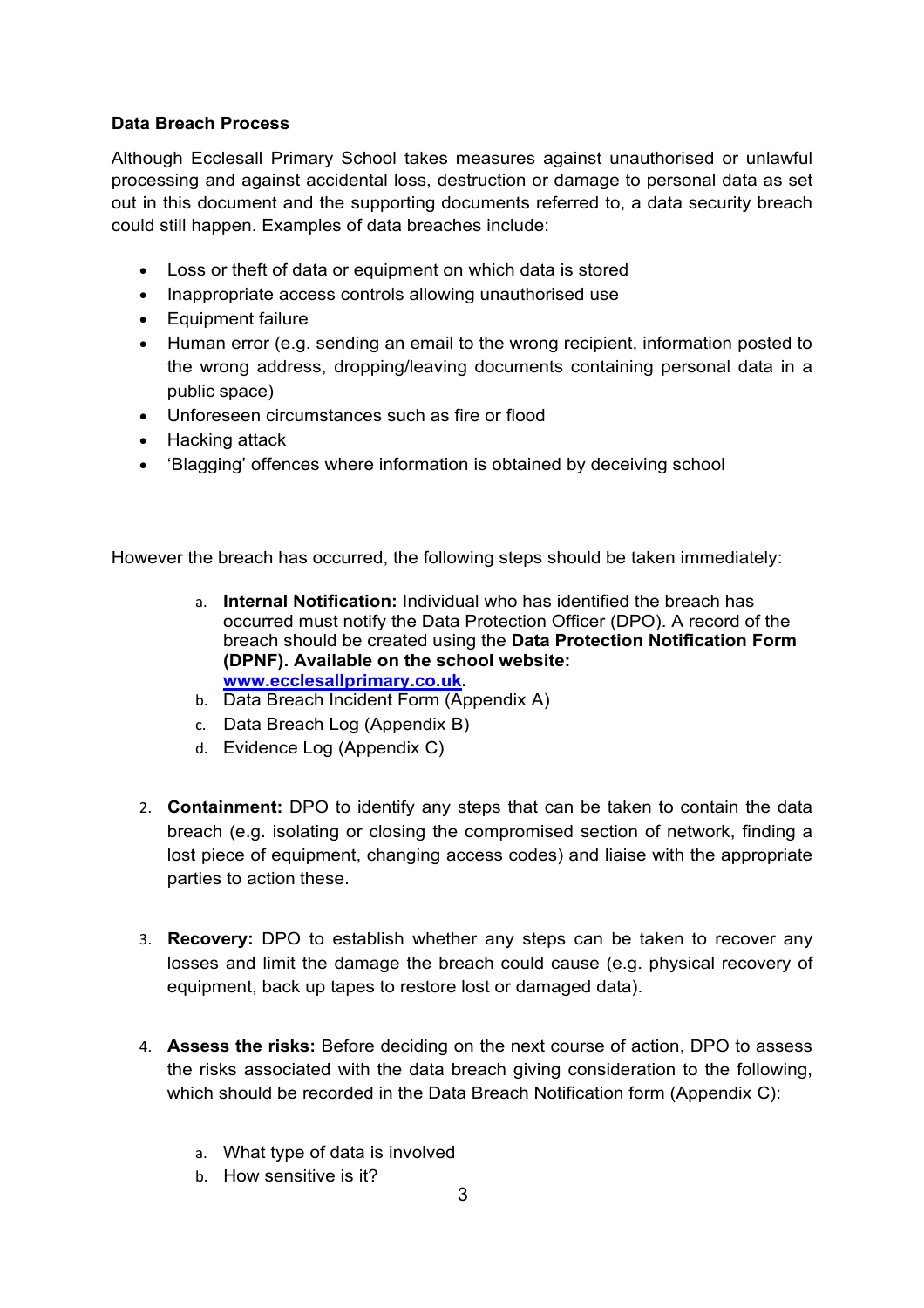### **Data Breach Process**

Although Ecclesall Primary School takes measures against unauthorised or unlawful processing and against accidental loss, destruction or damage to personal data as set out in this document and the supporting documents referred to, a data security breach could still happen. Examples of data breaches include:

- Loss or theft of data or equipment on which data is stored
- Inappropriate access controls allowing unauthorised use
- Equipment failure
- Human error (e.g. sending an email to the wrong recipient, information posted to the wrong address, dropping/leaving documents containing personal data in a public space)
- Unforeseen circumstances such as fire or flood
- Hacking attack
- 'Blagging' offences where information is obtained by deceiving school

However the breach has occurred, the following steps should be taken immediately:

- a. **Internal Notification:** Individual who has identified the breach has occurred must notify the Data Protection Officer (DPO). A record of the breach should be created using the **Data Protection Notification Form (DPNF). Available on the school website: [www.ecclesallprimary.co.uk.](http://www.ecclesallprimary.co.uk/)**
- b. Data Breach Incident Form (Appendix A)
- c. Data Breach Log (Appendix B)
- d. Evidence Log (Appendix C)
- 2. **Containment:** DPO to identify any steps that can be taken to contain the data breach (e.g. isolating or closing the compromised section of network, finding a lost piece of equipment, changing access codes) and liaise with the appropriate parties to action these.
- 3. **Recovery:** DPO to establish whether any steps can be taken to recover any losses and limit the damage the breach could cause (e.g. physical recovery of equipment, back up tapes to restore lost or damaged data).
- 4. **Assess the risks:** Before deciding on the next course of action, DPO to assess the risks associated with the data breach giving consideration to the following, which should be recorded in the Data Breach Notification form (Appendix C):
	- a. What type of data is involved
	- b. How sensitive is it?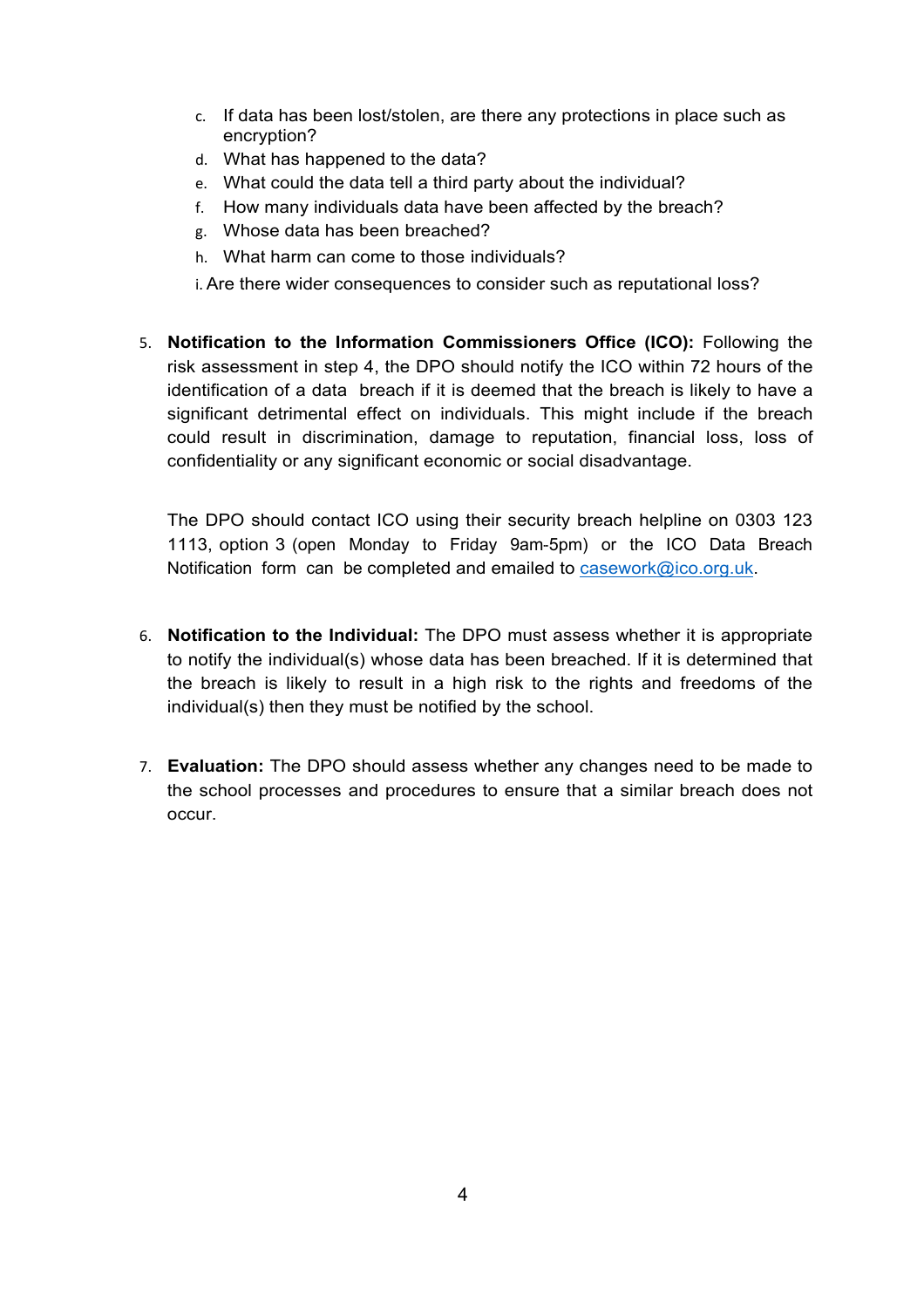- c. If data has been lost/stolen, are there any protections in place such as encryption?
- d. What has happened to the data?
- e. What could the data tell a third party about the individual?
- f. How many individuals data have been affected by the breach?
- g. Whose data has been breached?
- h. What harm can come to those individuals?
- i. Are there wider consequences to consider such as reputational loss?
- 5. **Notification to the Information Commissioners Office (ICO):** Following the risk assessment in step 4, the DPO should notify the ICO within 72 hours of the identification of a data breach if it is deemed that the breach is likely to have a significant detrimental effect on individuals. This might include if the breach could result in discrimination, damage to reputation, financial loss, loss of confidentiality or any significant economic or social disadvantage.

The DPO should contact ICO using their security breach helpline on 0303 123 1113, option 3 (open Monday to Friday 9am-5pm) or the ICO Data Breach Notification form can be completed and emailed to [casework@ico.org.uk.](mailto:casework@ico.org.uk)

- 6. **Notification to the Individual:** The DPO must assess whether it is appropriate to notify the individual(s) whose data has been breached. If it is determined that the breach is likely to result in a high risk to the rights and freedoms of the individual(s) then they must be notified by the school.
- 7. **Evaluation:** The DPO should assess whether any changes need to be made to the school processes and procedures to ensure that a similar breach does not occur.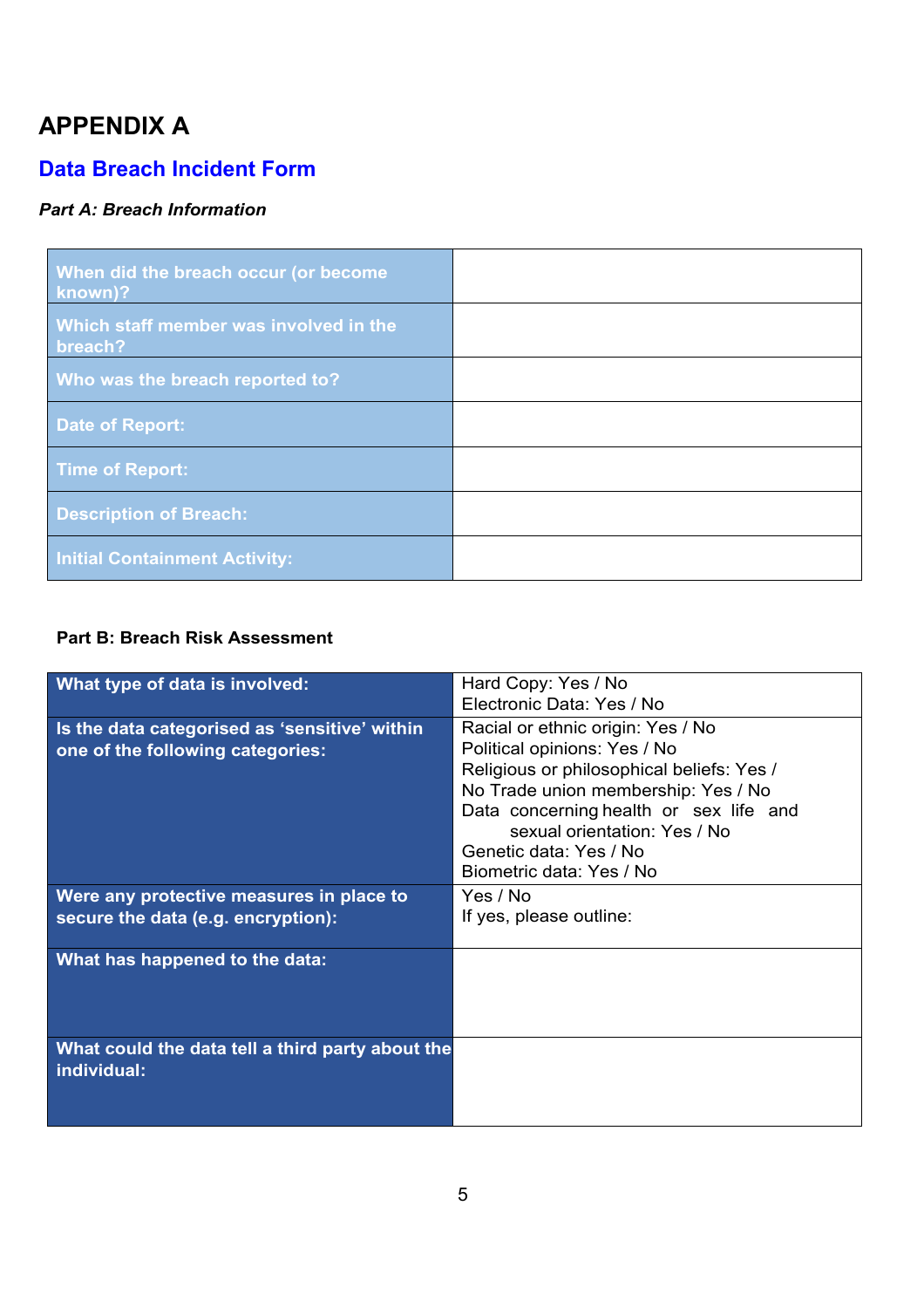## **APPENDIX A**

## **Data Breach Incident Form**

## *Part A: Breach Information*

| When did the breach occur (or become<br>known)?   |  |
|---------------------------------------------------|--|
| Which staff member was involved in the<br>breach? |  |
| Who was the breach reported to?                   |  |
| Date of Report:                                   |  |
| <b>Time of Report:</b>                            |  |
| <b>Description of Breach:</b>                     |  |
| <b>Initial Containment Activity:</b>              |  |

### **Part B: Breach Risk Assessment**

| What type of data is involved:                   | Hard Copy: Yes / No                       |
|--------------------------------------------------|-------------------------------------------|
|                                                  | Electronic Data: Yes / No                 |
| Is the data categorised as 'sensitive' within    | Racial or ethnic origin: Yes / No         |
| one of the following categories:                 | Political opinions: Yes / No              |
|                                                  | Religious or philosophical beliefs: Yes / |
|                                                  | No Trade union membership: Yes / No       |
|                                                  | Data concerning health or sex life and    |
|                                                  | sexual orientation: Yes / No              |
|                                                  | Genetic data: Yes / No                    |
|                                                  | Biometric data: Yes / No                  |
| Were any protective measures in place to         | Yes / No                                  |
| secure the data (e.g. encryption):               | If yes, please outline:                   |
|                                                  |                                           |
| What has happened to the data:                   |                                           |
|                                                  |                                           |
|                                                  |                                           |
|                                                  |                                           |
| What could the data tell a third party about the |                                           |
| individual:                                      |                                           |
|                                                  |                                           |
|                                                  |                                           |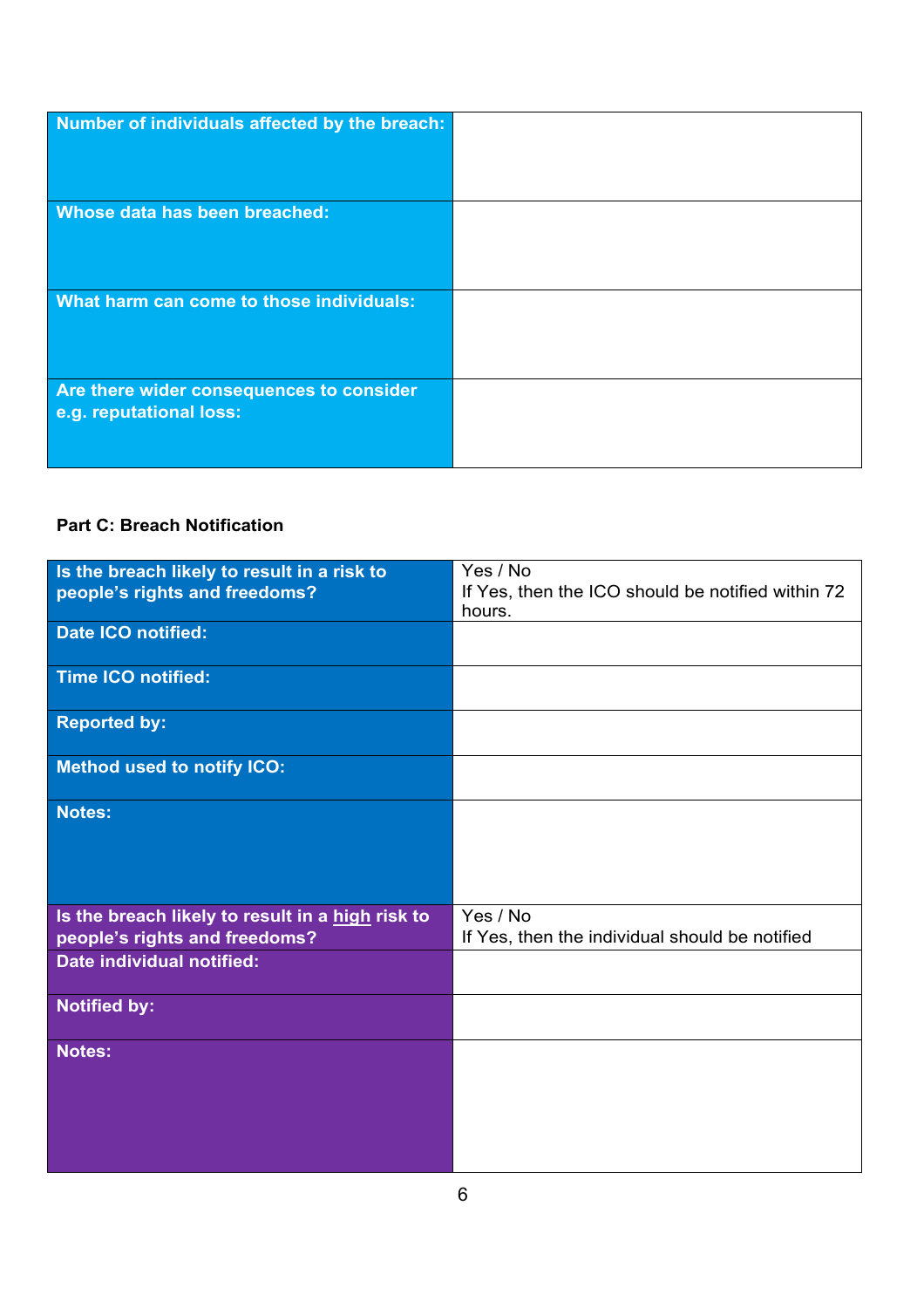| Number of individuals affected by the breach:                       |  |
|---------------------------------------------------------------------|--|
|                                                                     |  |
| Whose data has been breached:                                       |  |
|                                                                     |  |
|                                                                     |  |
| What harm can come to those individuals:                            |  |
|                                                                     |  |
|                                                                     |  |
| Are there wider consequences to consider<br>e.g. reputational loss: |  |
|                                                                     |  |
|                                                                     |  |

## **Part C: Breach Notification**

| Is the breach likely to result in a risk to      | Yes / No                                          |
|--------------------------------------------------|---------------------------------------------------|
| people's rights and freedoms?                    | If Yes, then the ICO should be notified within 72 |
|                                                  | hours.                                            |
| Date ICO notified:                               |                                                   |
|                                                  |                                                   |
| Time ICO notified:                               |                                                   |
| <b>Reported by:</b>                              |                                                   |
| <b>Method used to notify ICO:</b>                |                                                   |
| <b>Notes:</b>                                    |                                                   |
|                                                  |                                                   |
|                                                  |                                                   |
|                                                  |                                                   |
| Is the breach likely to result in a high risk to | Yes / No                                          |
| people's rights and freedoms?                    | If Yes, then the individual should be notified    |
| Date individual notified:                        |                                                   |
|                                                  |                                                   |
| <b>Notified by:</b>                              |                                                   |
| <b>Notes:</b>                                    |                                                   |
|                                                  |                                                   |
|                                                  |                                                   |
|                                                  |                                                   |
|                                                  |                                                   |
|                                                  |                                                   |
|                                                  |                                                   |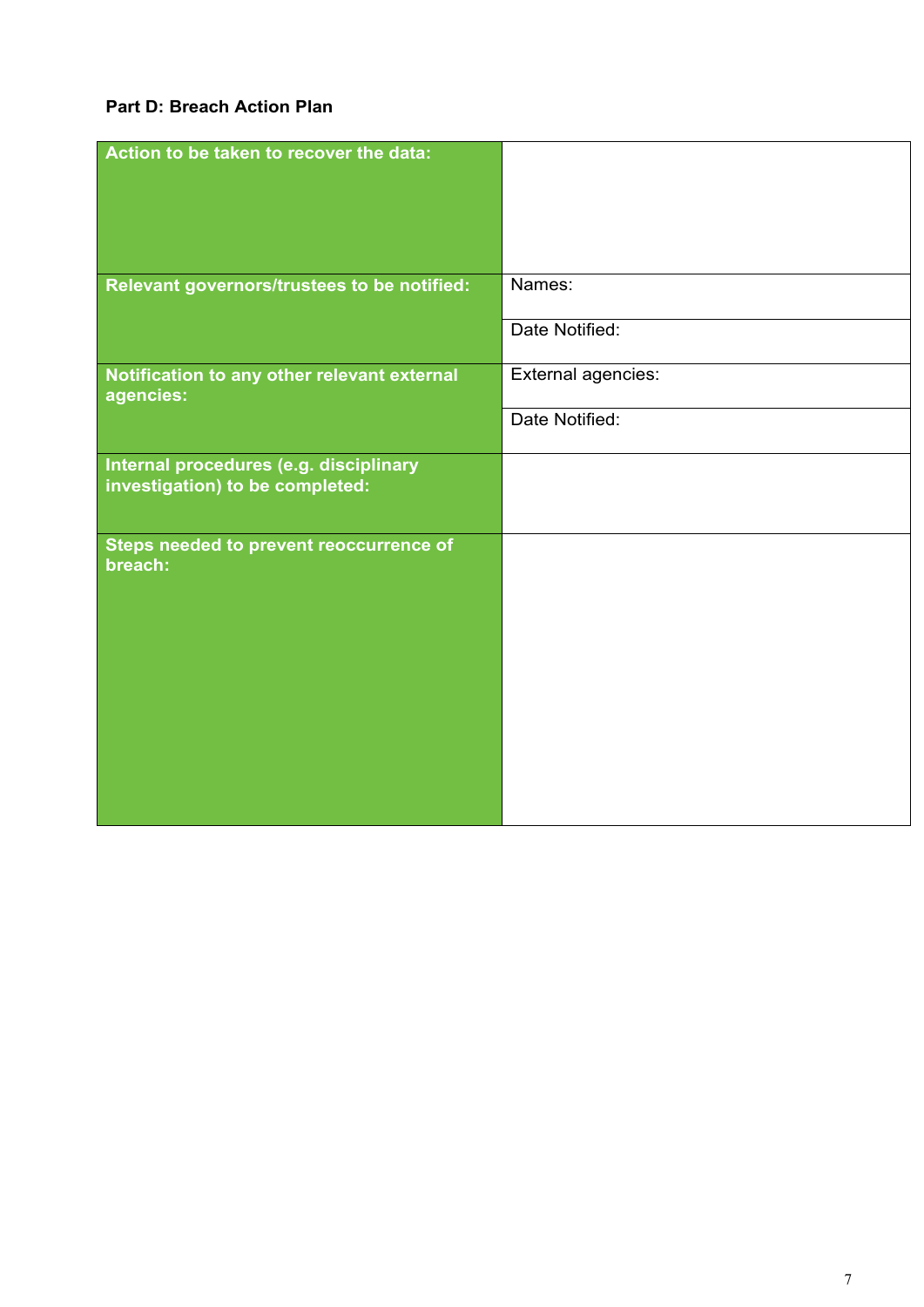## **Part D: Breach Action Plan**

| Action to be taken to recover the data:                  |                    |
|----------------------------------------------------------|--------------------|
|                                                          |                    |
|                                                          |                    |
|                                                          |                    |
|                                                          |                    |
|                                                          |                    |
|                                                          |                    |
| Relevant governors/trustees to be notified:              | Names:             |
|                                                          | Date Notified:     |
|                                                          |                    |
| Notification to any other relevant external<br>agencies: | External agencies: |
|                                                          | Date Notified:     |
|                                                          |                    |
| Internal procedures (e.g. disciplinary                   |                    |
| investigation) to be completed:                          |                    |
|                                                          |                    |
| Steps needed to prevent reoccurrence of                  |                    |
| breach:                                                  |                    |
|                                                          |                    |
|                                                          |                    |
|                                                          |                    |
|                                                          |                    |
|                                                          |                    |
|                                                          |                    |
|                                                          |                    |
|                                                          |                    |
|                                                          |                    |
|                                                          |                    |
|                                                          |                    |
|                                                          |                    |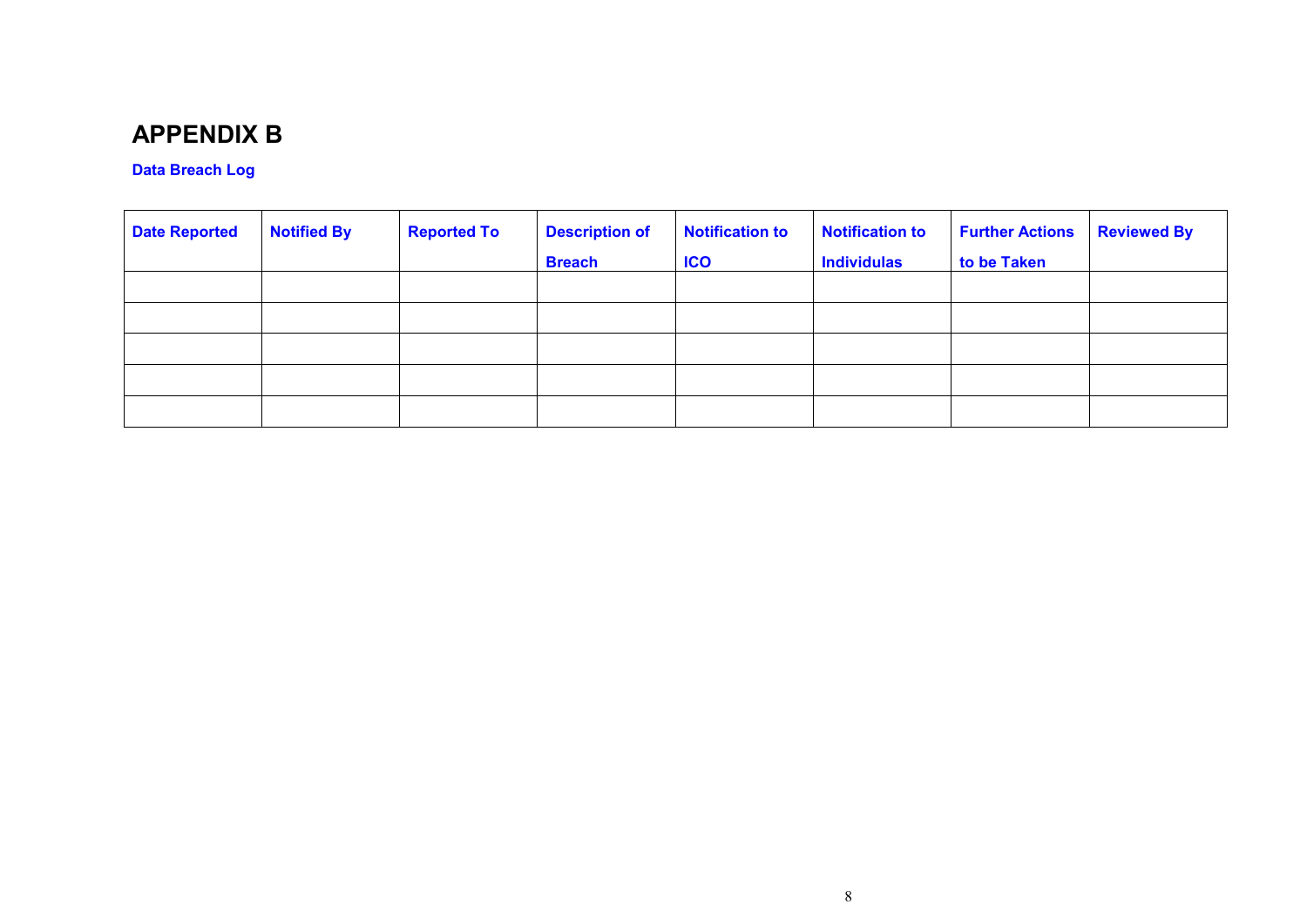## **APPENDIX B**

### **Data Breach Log**

| <b>Date Reported</b> | <b>Notified By</b> | <b>Reported To</b> | <b>Description of</b> | <b>Notification to</b> | <b>Notification to</b> | <b>Further Actions</b> | <b>Reviewed By</b> |
|----------------------|--------------------|--------------------|-----------------------|------------------------|------------------------|------------------------|--------------------|
|                      |                    |                    | <b>Breach</b>         | <b>ICO</b>             | <b>Individulas</b>     | to be Taken            |                    |
|                      |                    |                    |                       |                        |                        |                        |                    |
|                      |                    |                    |                       |                        |                        |                        |                    |
|                      |                    |                    |                       |                        |                        |                        |                    |
|                      |                    |                    |                       |                        |                        |                        |                    |
|                      |                    |                    |                       |                        |                        |                        |                    |